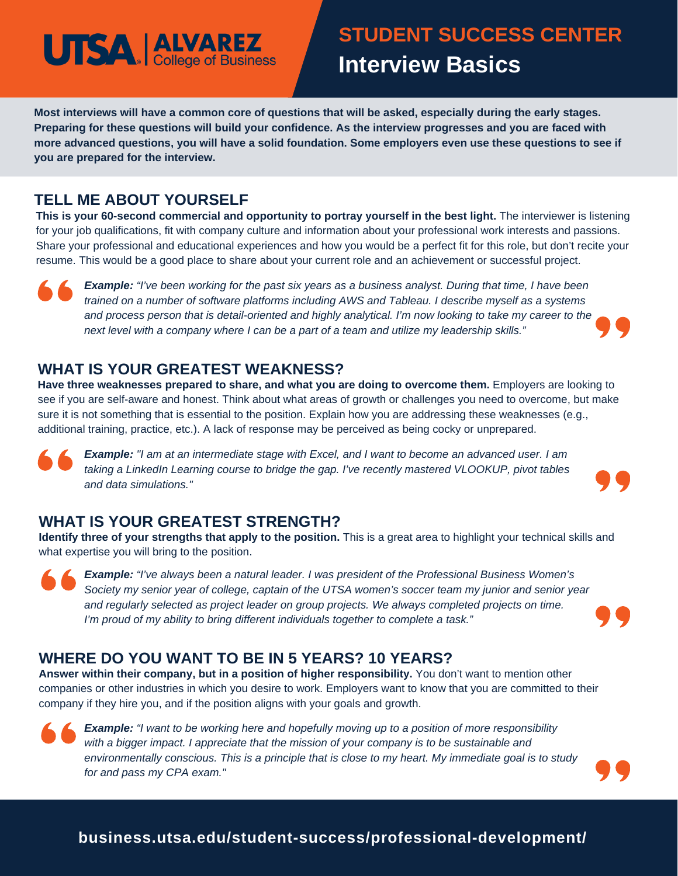# **UTSA ALVAREZ**

## **STUDENT SUCCESS CENTER Interview Basics**

Most interviews will have a common core of questions that will be asked, especially during the early stages. Preparing for these questions will build your confidence. As the interview progresses and you are faced with more advanced questions, you will have a solid foundation. Some employers even use these questions to see if **you are prepared for the interview.**

### **TELL ME ABOUT YOURSELF**

**This is your 60-second commercial and opportunity to portray yourself in the best light.** The interviewer is listening for your job qualifications, fit with company culture and information about your professional work interests and passions. Share your professional and educational experiences and how you would be a perfect fit for this role, but don't recite your resume. This would be a good place to share about your current role and an achievement or successful project.



**Example:** "I've been working for the past six years as a business analyst. During that time, I have been *trained on a number of software platforms including AWS and Tableau. I describe myself as a systems* and process person that is detail-oriented and highly analytical. I'm now looking to take my career to the next level with a company where I can be a part of a team and utilize my leadership skills."

### **WHAT IS YOUR GREATEST WEAKNESS?**

**Have three weaknesses prepared to share, and what you are doing to overcome them.** Employers are looking to see if you are self-aware and honest. Think about what areas of growth or challenges you need to overcome, but make sure it is not something that is essential to the position. Explain how you are addressing these weaknesses (e.g., additional training, practice, etc.). A lack of response may be perceived as being cocky or unprepared.



**Example:** "I am at an intermediate stage with Excel, and I want to become an advanced user. I am *taking a LinkedIn Learning course to bridge the gap. I've recently mastered VLOOKUP, pivot tables and data simulations."*

### **WHAT IS YOUR GREATEST STRENGTH?**

**Identify three of your strengths that apply to the position.** This is a great area to highlight your technical skills and what expertise you will bring to the position.

*Example: "I've always been a natural leader. I was president of the Professional Business Women's* Society my senior year of college, captain of the UTSA women's soccer team my junior and senior year *and regularly selected as project leader on group projects. We always completed projects on time. I'm proud of my ability to bring different individuals together to complete a task."*

### **WHERE DO YOU WANT TO BE IN 5 YEARS? 10 YEARS?**

**Answer within their company, but in a position of higher responsibility.** You don't want to mention other companies or other industries in which you desire to work. Employers want to know that you are committed to their company if they hire you, and if the position aligns with your goals and growth.





### **business.utsa.edu/student-success/professional-development/**